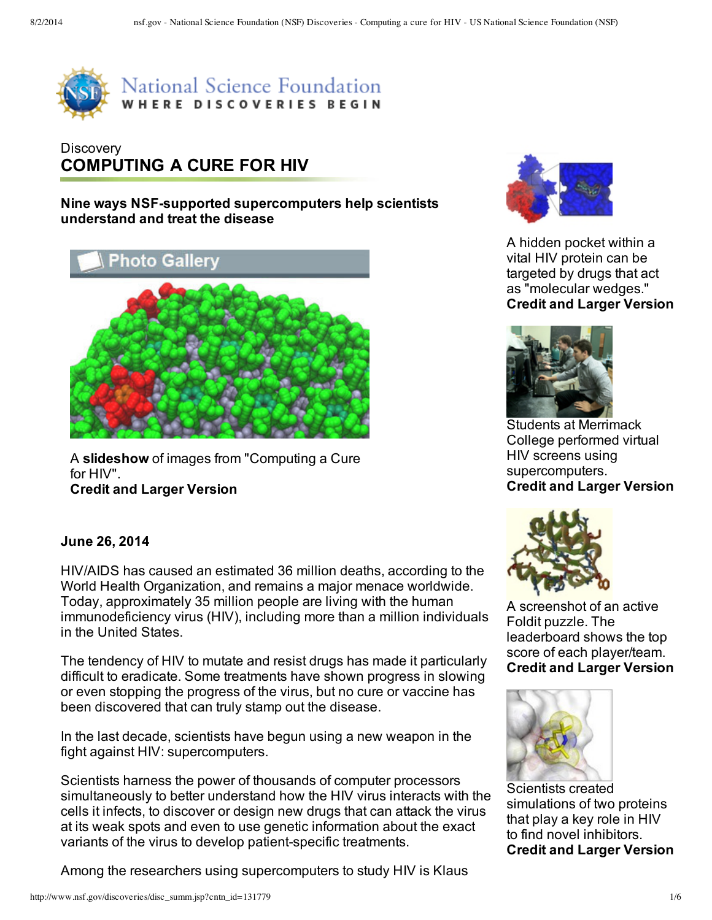

# **Discovery COMPUTING A CURE FOR HIV**

**Nine ways NSFsupported supercomputers help scientists understand and treat the disease**



A **[slideshow](http://1.usa.gov/1jnzOqx)** of images from "Computing a Cure for HIV". **Credit and Larger [Version](http://www.nsf.gov/discoveries/disc_images.jsp?cntn_id=131779&org=NSF)**

# **June 26, 2014**

HIV/AIDS has caused an estimated 36 million deaths, according to the World Health Organization, and remains a major menace worldwide. Today, approximately 35 million people are living with the human immunodeficiency virus (HIV), including more than a million individuals in the United States.

The tendency of HIV to mutate and resist drugs has made it particularly difficult to eradicate. Some treatments have shown progress in slowing or even stopping the progress of the virus, but no cure or vaccine has been discovered that can truly stamp out the disease.

In the last decade, scientists have begun using a new weapon in the fight against HIV: supercomputers.

Scientists harness the power of thousands of computer processors simultaneously to better understand how the HIV virus interacts with the cells it infects, to discover or design new drugs that can attack the virus at its weak spots and even to use genetic information about the exact variants of the virus to develop patient-specific treatments.

Among the researchers using supercomputers to study HIV is Klaus



A hidden pocket within a vital HIV protein can be targeted by drugs that act as "molecular wedges." **Credit and Larger [Version](http://www.nsf.gov/discoveries/disc_images.jsp?cntn_id=131779&org=NSF)**



Students at Merrimack College performed virtual HIV screens using supercomputers. **Credit and Larger [Version](http://www.nsf.gov/discoveries/disc_images.jsp?cntn_id=131779&org=NSF)**



A screenshot of an active Foldit puzzle. The leaderboard shows the top score of each player/team. **Credit and Larger [Version](http://www.nsf.gov/discoveries/disc_images.jsp?cntn_id=131779&org=NSF)**



Scientists created simulations of two proteins that play a key role in HIV to find novel inhibitors. **Credit and Larger [Version](http://www.nsf.gov/discoveries/disc_images.jsp?cntn_id=131779&org=NSF)**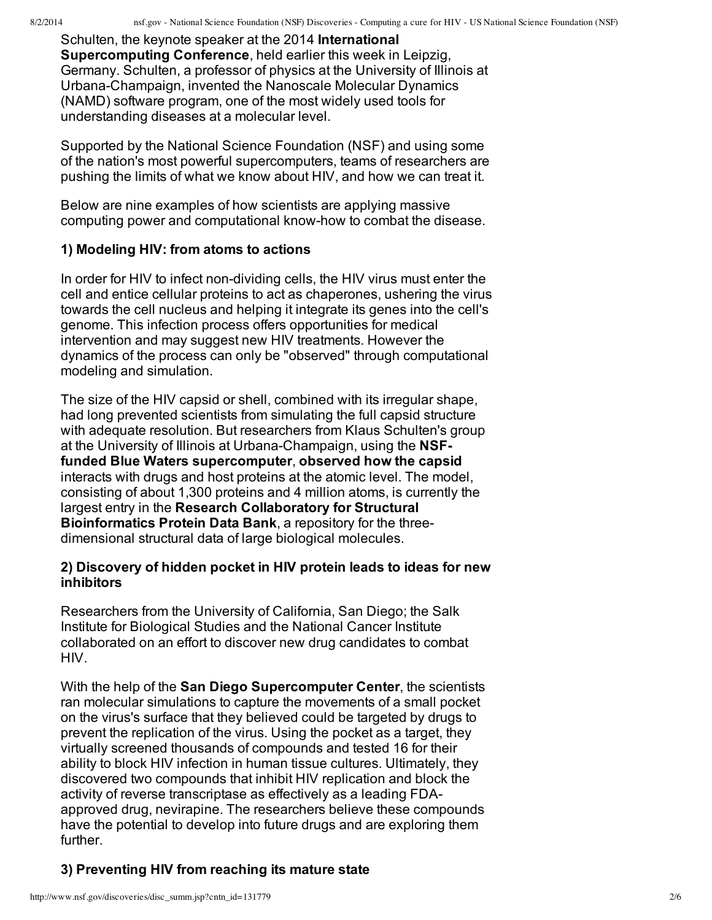Schulten, the keynote speaker at the 2014 **International [Supercomputing](http://www.nsf.gov/cgi-bin/goodbye?http://www.isc-events.com/isc14/) Conference**, held earlier this week in Leipzig, Germany. Schulten, a professor of physics at the University of Illinois at Urbana-Champaign, invented the Nanoscale Molecular Dynamics (NAMD) software program, one of the most widely used tools for understanding diseases at a molecular level.

Supported by the National Science Foundation (NSF) and using some of the nation's most powerful supercomputers, teams of researchers are pushing the limits of what we know about HIV, and how we can treat it.

Below are nine examples of how scientists are applying massive computing power and computational know-how to combat the disease.

### **1) Modeling HIV: from atoms to actions**

In order for HIV to infect non-dividing cells, the HIV virus must enter the cell and entice cellular proteins to act as chaperones, ushering the virus towards the cell nucleus and helping it integrate its genes into the cell's genome. This infection process offers opportunities for medical intervention and may suggest new HIV treatments. However the dynamics of the process can only be "observed" through computational modeling and simulation.

The size of the HIV capsid or shell, combined with its irregular shape, had long prevented scientists from simulating the full capsid structure with adequate resolution. But researchers from Klaus Schulten's group at the University of Illinois at Urbana-Champaign, using the **NSFfunded Blue Waters [supercomputer](http://www.nsf.gov/awardsearch/showAward?AWD_ID=1238993&HistoricalAwards=false)**, **[observed](http://www.ncbi.nlm.nih.gov/pmc/articles/PMC3729984/pdf/nihms500940.pdf) how the capsid** interacts with drugs and host proteins at the atomic level. The model, consisting of about 1,300 proteins and 4 million atoms, is currently the largest entry in the **Research Collaboratory for Structural [Bioinformatics](http://www.nsf.gov/cgi-bin/goodbye?http://www.rcsb.org/pdb/home/home.do) Protein Data Bank**, a repository for the threedimensional structural data of large biological molecules.

#### **2) Discovery of hidden pocket in HIV protein leads to ideas for new inhibitors**

Researchers from the University of California, San Diego; the Salk Institute for Biological Studies and the National Cancer Institute collaborated on an effort to discover new drug candidates to combat HIV.

With the help of the **San Diego [Supercomputer](http://www.nsf.gov/cgi-bin/goodbye?http://www.sdsc.edu/) Center**, the scientists ran molecular simulations to capture the movements of a small pocket on the virus's surface that they believed could be targeted by drugs to prevent the replication of the virus. Using the pocket as a target, they virtually screened thousands of compounds and tested 16 for their ability to block HIV infection in human tissue cultures. Ultimately, they discovered two compounds that inhibit HIV replication and block the activity of reverse transcriptase as effectively as a leading FDAapproved drug, nevirapine. The researchers believe these compounds have the potential to develop into future drugs and are exploring them further.

### **3) Preventing HIV from reaching its mature state**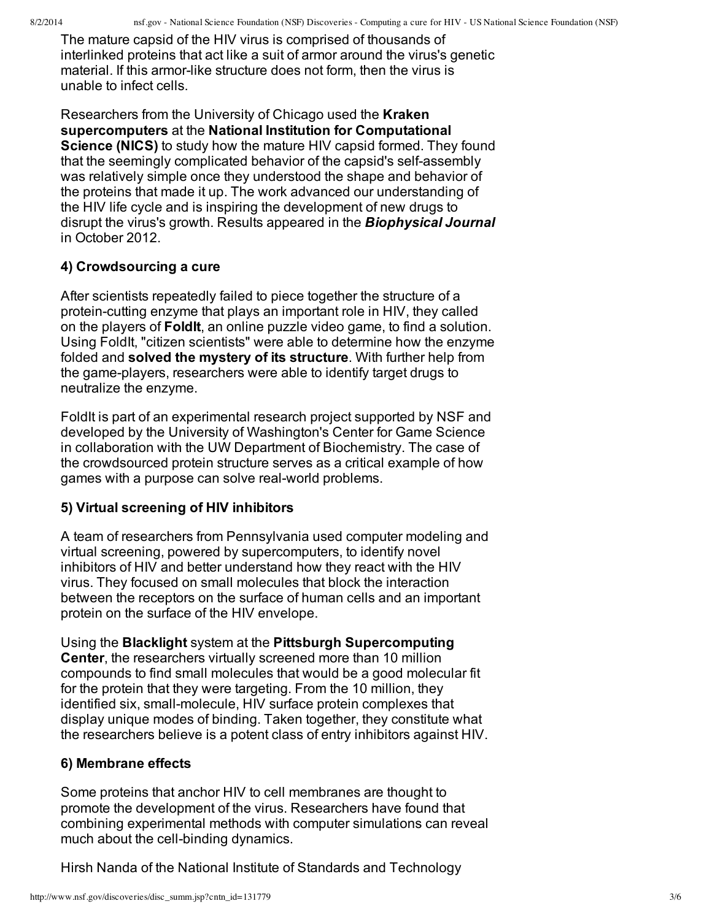The mature capsid of the HIV virus is comprised of thousands of interlinked proteins that act like a suit of armor around the virus's genetic material. If this armor-like structure does not form, then the virus is unable to infect cells.

Researchers from the University of Chicago used the **Kraken [supercomputers](http://www.nsf.gov/cgi-bin/goodbye?http://www.nics.tennessee.edu/)** at the **National Institution for Computational Science (NICS)** to study how the mature HIV capsid formed. They found that the seemingly complicated behavior of the capsid's self-assembly was relatively simple once they understood the shape and behavior of the proteins that made it up. The work advanced our understanding of the HIV life cycle and is inspiring the development of new drugs to disrupt the virus's growth. Results appeared in the *[Biophysical](http://www.nsf.gov/cgi-bin/goodbye?http://www.sciencedirect.com/science/article/pii/S0006349512010193) Journal* in October 2012.

# **4) Crowdsourcing a cure**

After scientists repeatedly failed to piece together the structure of a protein-cutting enzyme that plays an important role in HIV, they called on the players of **[FoldIt](http://www.nsf.gov/cgi-bin/goodbye?https://fold.it/portal/)**, an online puzzle video game, to find a solution. Using FoldIt, "citizen scientists" were able to determine how the enzyme folded and **solved the mystery of its [structure](http://www.nsf.gov/cgi-bin/goodbye?http://www.scientificamerican.com/article/foldit-gamers-solve-riddle/)**. With further help from the game-players, researchers were able to identify target drugs to neutralize the enzyme.

FoldIt is part of an experimental research project supported by NSF and developed by the University of Washington's Center for Game Science in collaboration with the UW Department of Biochemistry. The case of the crowdsourced protein structure serves as a critical example of how games with a purpose can solve real-world problems.

# **5) Virtual screening of HIV inhibitors**

A team of researchers from Pennsylvania used computer modeling and virtual screening, powered by supercomputers, to identify novel inhibitors of HIV and better understand how they react with the HIV virus. They focused on small molecules that block the interaction between the receptors on the surface of human cells and an important protein on the surface of the HIV envelope.

Using the **[Blacklight](http://www.nsf.gov/cgi-bin/goodbye?https://www.psc.edu/index.php/computing-resources/blacklight)** system at the **Pittsburgh [Supercomputing](http://www.nsf.gov/cgi-bin/goodbye?http://www.psc.edu/) Center**, the researchers virtually screened more than 10 million compounds to find small molecules that would be a good molecular fit for the protein that they were targeting. From the 10 million, they identified six, small-molecule, HIV surface protein complexes that display unique modes of binding. Taken together, they constitute what the researchers believe is a potent class of entry inhibitors against HIV.

# **6) Membrane effects**

Some proteins that anchor HIV to cell membranes are thought to promote the development of the virus. Researchers have found that combining experimental methods with computer simulations can reveal much about the cell-binding dynamics.

Hirsh Nanda of the National Institute of Standards and Technology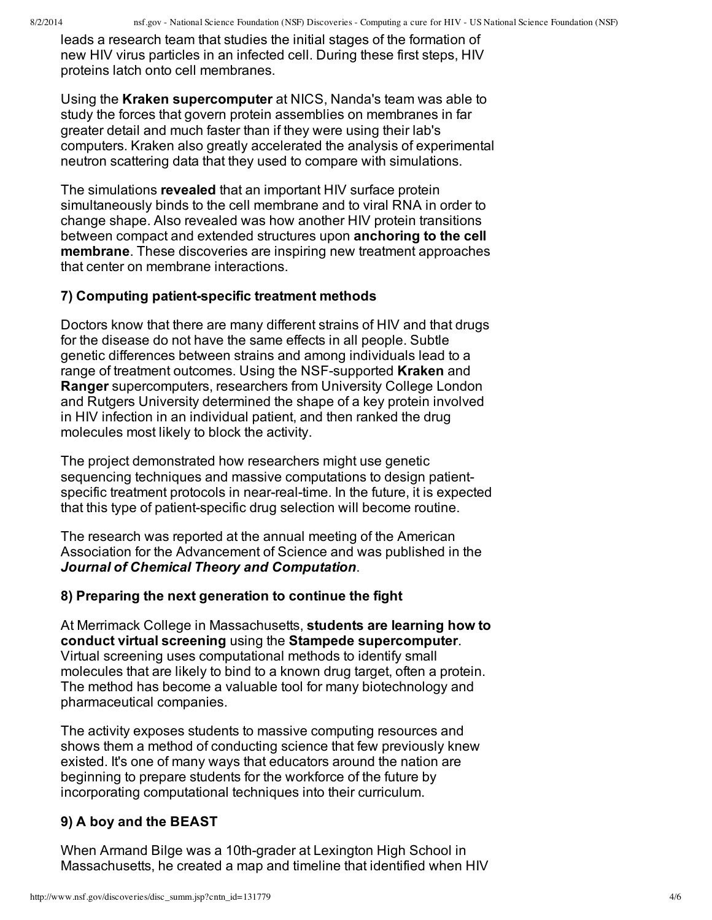leads a research team that studies the initial stages of the formation of new HIV virus particles in an infected cell. During these first steps, HIV proteins latch onto cell membranes.

Using the **Kraken [supercomputer](http://www.nsf.gov/cgi-bin/goodbye?http://www.nics.tennessee.edu/computing-resources/kraken)** at NICS, Nanda's team was able to study the forces that govern protein assemblies on membranes in far greater detail and much faster than if they were using their lab's computers. Kraken also greatly accelerated the analysis of experimental neutron scattering data that they used to compare with simulations.

The simulations **[revealed](http://www.ncbi.nlm.nih.gov/pmc/articles/PMC3046808/)** that an important HIV surface protein simultaneously binds to the cell membrane and to viral RNA in order to change shape. Also revealed was how another HIV protein transitions between compact and extended structures upon **anchoring to the cell membrane**. These [discoveries](http://www.ncbi.nlm.nih.gov/pubmed/24035710) are inspiring new treatment approaches that center on membrane interactions.

#### **7)** Computing patient-specific treatment methods

Doctors know that there are many different strains of HIV and that drugs for the disease do not have the same effects in all people. Subtle genetic differences between strains and among individuals lead to a range of treatment outcomes. Using the NSF-supported **[Kraken](http://www.nsf.gov/cgi-bin/goodbye?http://www.nics.tennessee.edu/computing-resources/kraken)** and **[Ranger](http://www.nsf.gov/cgi-bin/goodbye?https://www.tacc.utexas.edu/resources/hpc/ranger)** supercomputers, researchers from University College London and Rutgers University determined the shape of a key protein involved in HIV infection in an individual patient, and then ranked the drug molecules most likely to block the activity.

The project demonstrated how researchers might use genetic sequencing techniques and massive computations to design patientspecific treatment protocols in near-real-time. In the future, it is expected that this type of patient-specific drug selection will become routine.

The research was reported at the annual meeting of the American Association for the Advancement of Science and was published in the *Journal of Chemical Theory and [Computation](http://www.nsf.gov/cgi-bin/goodbye?http://pubs.acs.org/doi/ipdf/10.1021/ct4007037)*.

### **8) Preparing the next generation to continue the fight**

At Merrimack College in Massachusetts, **students are learning how to conduct virtual screening** using the **Stampede [supercomputer](http://www.nsf.gov/cgi-bin/goodbye?http://dl.acm.org/citation.cfm?id=2484766&bnc=1)**. Virtual screening uses computational methods to identify small molecules that are likely to bind to a known drug target, often a protein. The method has become a valuable tool for many biotechnology and pharmaceutical companies.

The activity exposes students to massive computing resources and shows them a method of conducting science that few previously knew existed. It's one of many ways that educators around the nation are beginning to prepare students for the workforce of the future by incorporating computational techniques into their curriculum.

### **9) A boy and the BEAST**

When Armand Bilge was a 10th-grader at Lexington High School in Massachusetts, he created a map and timeline that identified when HIV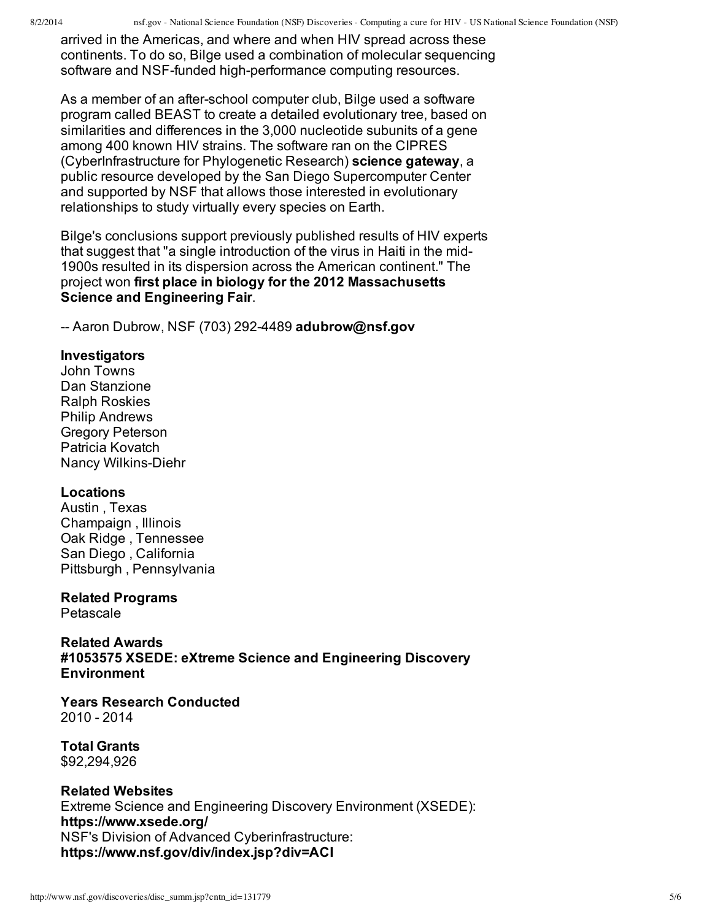arrived in the Americas, and where and when HIV spread across these continents. To do so, Bilge used a combination of molecular sequencing software and NSF-funded high-performance computing resources.

As a member of an after-school computer club, Bilge used a software program called BEAST to create a detailed evolutionary tree, based on similarities and differences in the 3,000 nucleotide subunits of a gene among 400 known HIV strains. The software ran on the CIPRES (CyberInfrastructure for Phylogenetic Research) **science [gateway](http://www.nsf.gov/cgi-bin/goodbye?http://www.phylo.org/index.php/portal/about)**, a public resource developed by the San Diego Supercomputer Center and supported by NSF that allows those interested in evolutionary relationships to study virtually every species on Earth.

Bilge's conclusions support previously published results of HIV experts that suggest that "a single introduction of the virus in Haiti in the mid-1900s resulted in its dispersion across the American continent." The project won **first place in biology for the 2012 [Massachusetts](http://www.nsf.gov/cgi-bin/goodbye?http://ucsdnews.ucsd.edu/pressrelease/sdscs_cipres_science_gateway_clarifies_branches_in_evolutions_tree_of_life) Science and Engineering Fair**.

Aaron Dubrow, NSF (703) 2924489 **[adubrow@nsf.gov](mailto:adubrow@nsf.gov)**

#### **Investigators**

John Towns Dan Stanzione Ralph Roskies Philip Andrews Gregory Peterson Patricia Kovatch Nancy Wilkins-Diehr

#### **Locations**

Austin , Texas Champaign , Illinois Oak Ridge , Tennessee San Diego , California Pittsburgh , Pennsylvania

#### **Related Programs** Petascale

#### **Related Awards #1053575 XSEDE: eXtreme Science and Engineering Discovery [Environment](http://www.nsf.gov/awardsearch/showAward.do?AwardNumber=1053575)**

**Years Research Conducted** 2010 2014

**Total Grants** \$92,294,926

#### **Related Websites**

Extreme Science and Engineering Discovery Environment (XSEDE): **[https://www.xsede.org/](http://www.nsf.gov/cgi-bin/good-bye?https://www.xsede.org/)** NSF's Division of Advanced Cyberinfrastructure: **<https://www.nsf.gov/div/index.jsp?div=ACI>**